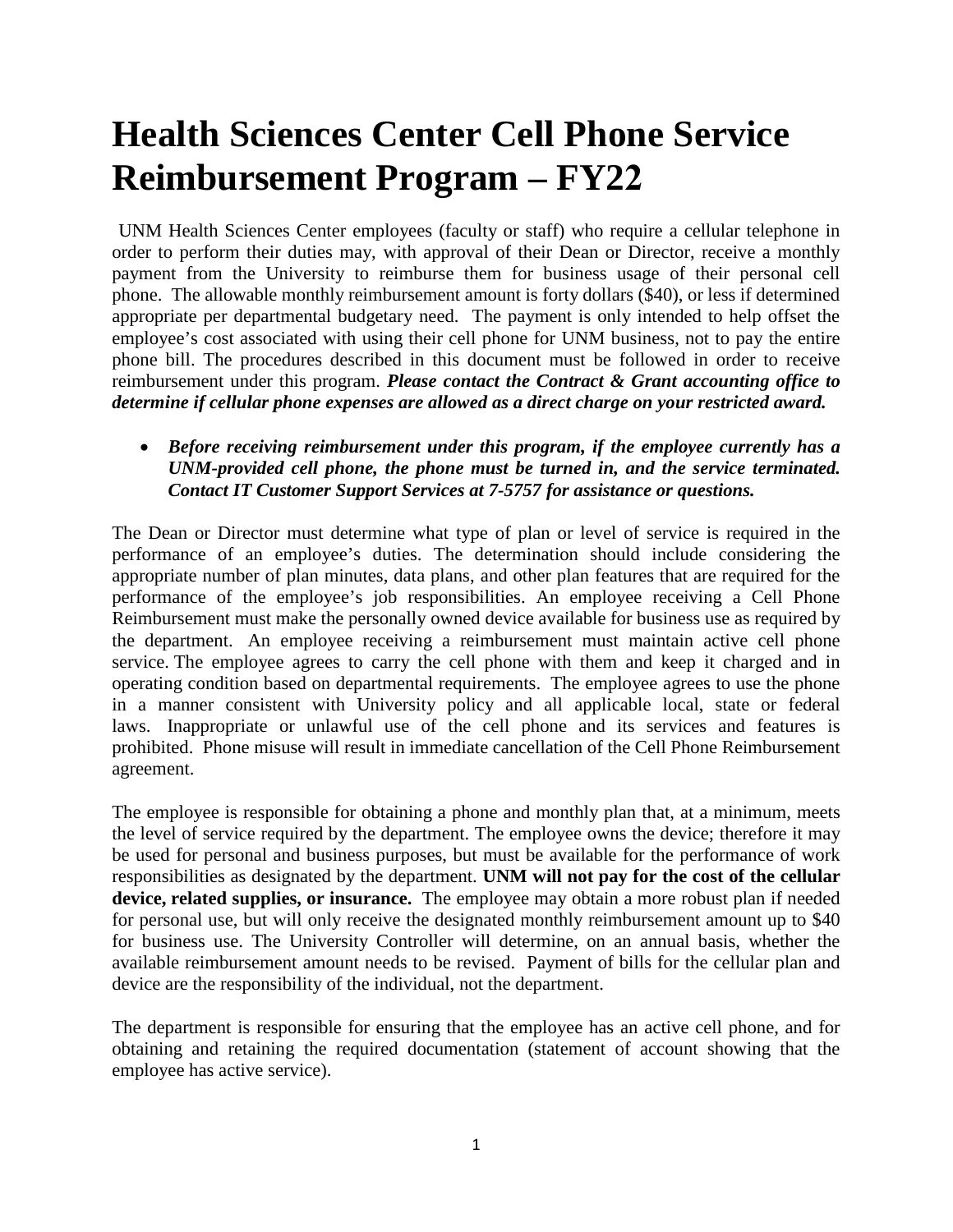## **Health Sciences Center Cell Phone Service Reimbursement Program – FY22**

UNM Health Sciences Center employees (faculty or staff) who require a cellular telephone in order to perform their duties may, with approval of their Dean or Director, receive a monthly payment from the University to reimburse them for business usage of their personal cell phone. The allowable monthly reimbursement amount is forty dollars (\$40), or less if determined appropriate per departmental budgetary need. The payment is only intended to help offset the employee's cost associated with using their cell phone for UNM business, not to pay the entire phone bill. The procedures described in this document must be followed in order to receive reimbursement under this program. *Please contact the Contract & Grant accounting office to determine if cellular phone expenses are allowed as a direct charge on your restricted award.*

• *Before receiving reimbursement under this program, if the employee currently has a UNM-provided cell phone, the phone must be turned in, and the service terminated. Contact IT Customer Support Services at 7-5757 for assistance or questions.*

The Dean or Director must determine what type of plan or level of service is required in the performance of an employee's duties. The determination should include considering the appropriate number of plan minutes, data plans, and other plan features that are required for the performance of the employee's job responsibilities. An employee receiving a Cell Phone Reimbursement must make the personally owned device available for business use as required by the department. An employee receiving a reimbursement must maintain active cell phone service. The employee agrees to carry the cell phone with them and keep it charged and in operating condition based on departmental requirements. The employee agrees to use the phone in a manner consistent with University policy and all applicable local, state or federal laws. Inappropriate or unlawful use of the cell phone and its services and features is prohibited. Phone misuse will result in immediate cancellation of the Cell Phone Reimbursement agreement.

The employee is responsible for obtaining a phone and monthly plan that, at a minimum, meets the level of service required by the department. The employee owns the device; therefore it may be used for personal and business purposes, but must be available for the performance of work responsibilities as designated by the department. **UNM will not pay for the cost of the cellular device, related supplies, or insurance.** The employee may obtain a more robust plan if needed for personal use, but will only receive the designated monthly reimbursement amount up to \$40 for business use. The University Controller will determine, on an annual basis, whether the available reimbursement amount needs to be revised. Payment of bills for the cellular plan and device are the responsibility of the individual, not the department.

The department is responsible for ensuring that the employee has an active cell phone, and for obtaining and retaining the required documentation (statement of account showing that the employee has active service).